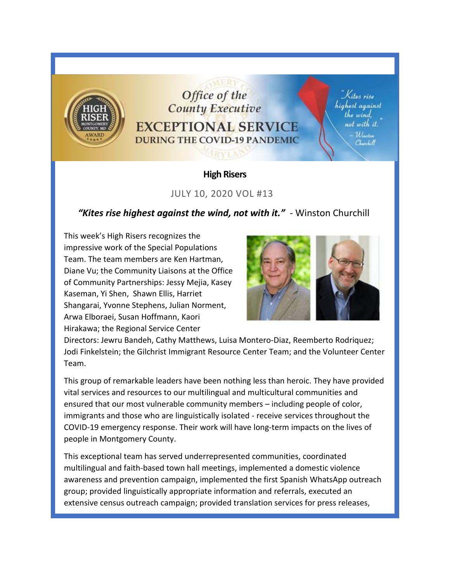

## Office of the **County Executive EXCEPTIONAL SERVICE DURING THE COVID-19 PANDEMIC**

Kites rise highest against the wind. not with it. Winston Thurchill

## **High Risers**

## JULY 10, 2020 VOL #13

## *"Kites rise highest against the wind, not with it."* - Winston Churchill

This week's High Risers recognizes the impressive work of the Special Populations Team. The team members are Ken Hartman, Diane Vu; the Community Liaisons at the Office of Community Partnerships: Jessy Mejia, Kasey Kaseman, Yi Shen, Shawn Ellis, Harriet Shangarai, Yvonne Stephens, Julian Norment, Arwa Elboraei, Susan Hoffmann, Kaori Hirakawa; the Regional Service Center



Directors: Jewru Bandeh, Cathy Matthews, Luisa Montero-Diaz, Reemberto Rodriquez; Jodi Finkelstein; the Gilchrist Immigrant Resource Center Team; and the Volunteer Center Team.

This group of remarkable leaders have been nothing less than heroic. They have provided vital services and resources to our multilingual and multicultural communities and ensured that our most vulnerable community members – including people of color, immigrants and those who are linguistically isolated - receive services throughout the COVID-19 emergency response. Their work will have long-term impacts on the lives of people in Montgomery County.

This exceptional team has served underrepresented communities, coordinated multilingual and faith-based town hall meetings, implemented a domestic violence awareness and prevention campaign, implemented the first Spanish WhatsApp outreach group; provided linguistically appropriate information and referrals, executed an extensive census outreach campaign; provided translation services for press releases,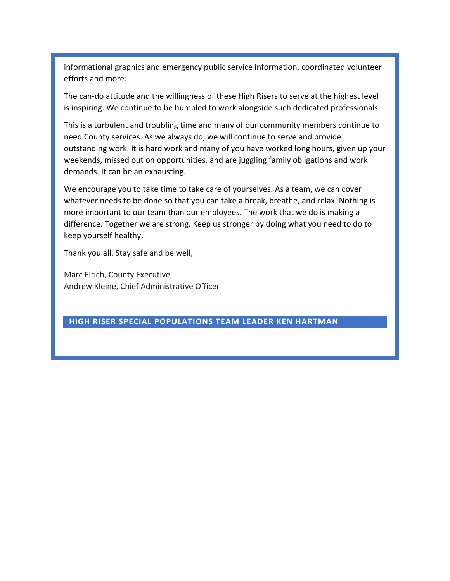informational graphics and emergency public service information, coordinated volunteer efforts and more.

The can-do attitude and the willingness of these High Risers to serve at the highest level is inspiring. We continue to be humbled to work alongside such dedicated professionals.

This is a turbulent and troubling time and many of our community members continue to need County services. As we always do, we will continue to serve and provide outstanding work. It is hard work and many of you have worked long hours, given up your weekends, missed out on opportunities, and are juggling family obligations and work demands. It can be an exhausting.

We encourage you to take time to take care of yourselves. As a team, we can cover whatever needs to be done so that you can take a break, breathe, and relax. Nothing is more important to our team than our employees. The work that we do is making a difference. Together we are strong. Keep us stronger by doing what you need to do to keep yourself healthy.

Thank you all. Stay safe and be well,

Marc Elrich, County Executive Andrew Kleine, Chief Administrative Officer

#### **HIGH RISER SPECIAL POPULATIONS TEAM LEADER KEN HARTMAN**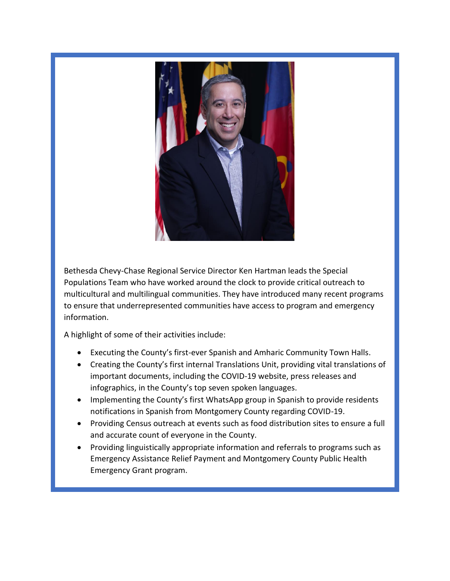

Bethesda Chevy-Chase Regional Service Director Ken Hartman leads the Special Populations Team who have worked around the clock to provide critical outreach to multicultural and multilingual communities. They have introduced many recent programs to ensure that underrepresented communities have access to program and emergency information.

A highlight of some of their activities include:

- Executing the County's first-ever Spanish and Amharic Community Town Halls.
- Creating the County's first internal Translations Unit, providing vital translations of important documents, including the COVID-19 website, press releases and infographics, in the County's top seven spoken languages.
- Implementing the County's first WhatsApp group in Spanish to provide residents notifications in Spanish from Montgomery County regarding COVID-19.
- Providing Census outreach at events such as food distribution sites to ensure a full and accurate count of everyone in the County.
- Providing linguistically appropriate information and referrals to programs such as Emergency Assistance Relief Payment and Montgomery County Public Health Emergency Grant program.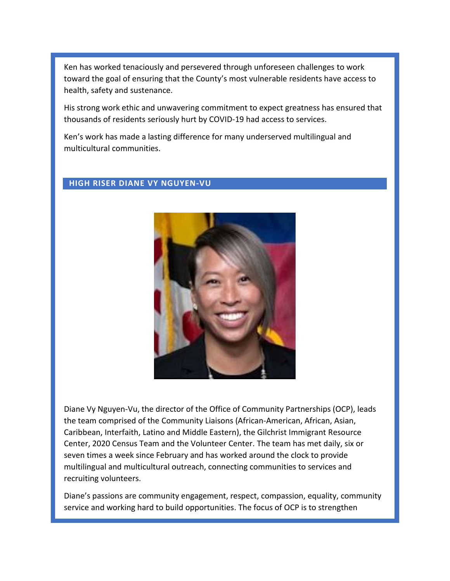Ken has worked tenaciously and persevered through unforeseen challenges to work toward the goal of ensuring that the County's most vulnerable residents have access to health, safety and sustenance.

His strong work ethic and unwavering commitment to expect greatness has ensured that thousands of residents seriously hurt by COVID-19 had access to services.

Ken's work has made a lasting difference for many underserved multilingual and multicultural communities.

#### **HIGH RISER DIANE VY NGUYEN-VU**



Diane Vy Nguyen-Vu, the director of the Office of Community Partnerships (OCP), leads the team comprised of the Community Liaisons (African-American, African, Asian, Caribbean, Interfaith, Latino and Middle Eastern), the Gilchrist Immigrant Resource Center, 2020 Census Team and the Volunteer Center. The team has met daily, six or seven times a week since February and has worked around the clock to provide multilingual and multicultural outreach, connecting communities to services and recruiting volunteers.

Diane's passions are community engagement, respect, compassion, equality, community service and working hard to build opportunities. The focus of OCP is to strengthen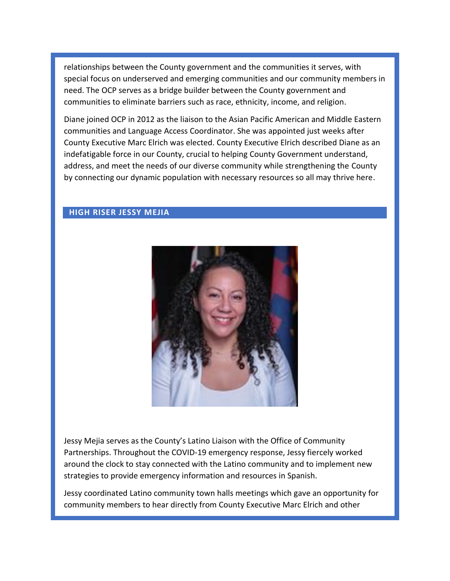relationships between the County government and the communities it serves, with special focus on underserved and emerging communities and our community members in need. The OCP serves as a bridge builder between the County government and communities to eliminate barriers such as race, ethnicity, income, and religion.

Diane joined OCP in 2012 as the liaison to the Asian Pacific American and Middle Eastern communities and Language Access Coordinator. She was appointed just weeks after County Executive Marc Elrich was elected. County Executive Elrich described Diane as an indefatigable force in our County, crucial to helping County Government understand, address, and meet the needs of our diverse community while strengthening the County by connecting our dynamic population with necessary resources so all may thrive here.

#### **HIGH RISER JESSY MEJIA**



Jessy Mejia serves as the County's Latino Liaison with the Office of Community Partnerships. Throughout the COVID-19 emergency response, Jessy fiercely worked around the clock to stay connected with the Latino community and to implement new strategies to provide emergency information and resources in Spanish.

Jessy coordinated Latino community town halls meetings which gave an opportunity for community members to hear directly from County Executive Marc Elrich and other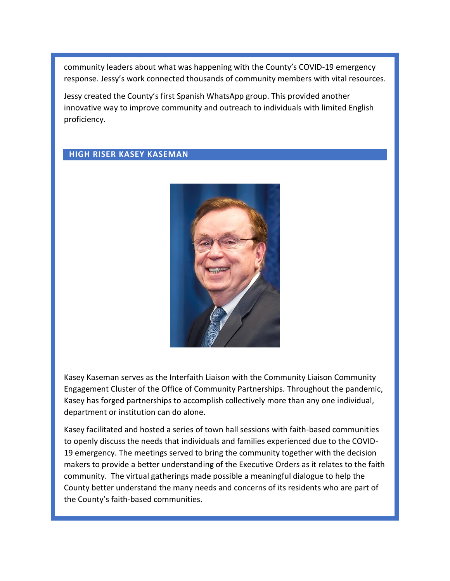community leaders about what was happening with the County's COVID-19 emergency response. Jessy's work connected thousands of community members with vital resources.

Jessy created the County's first Spanish WhatsApp group. This provided another innovative way to improve community and outreach to individuals with limited English proficiency.

#### **HIGH RISER KASEY KASEMAN**



Kasey Kaseman serves as the Interfaith Liaison with the Community Liaison Community Engagement Cluster of the Office of Community Partnerships. Throughout the pandemic, Kasey has forged partnerships to accomplish collectively more than any one individual, department or institution can do alone.

Kasey facilitated and hosted a series of town hall sessions with faith-based communities to openly discuss the needs that individuals and families experienced due to the COVID-19 emergency. The meetings served to bring the community together with the decision makers to provide a better understanding of the Executive Orders as it relates to the faith community. The virtual gatherings made possible a meaningful dialogue to help the County better understand the many needs and concerns of its residents who are part of the County's faith-based communities.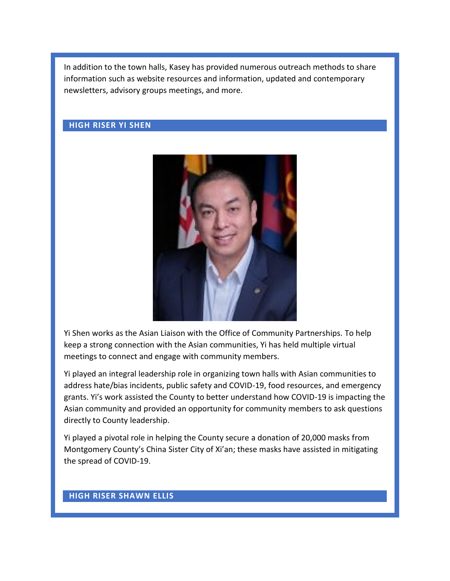In addition to the town halls, Kasey has provided numerous outreach methods to share information such as website resources and information, updated and contemporary newsletters, advisory groups meetings, and more.

#### **HIGH RISER YI SHEN**



Yi Shen works as the Asian Liaison with the Office of Community Partnerships. To help keep a strong connection with the Asian communities, Yi has held multiple virtual meetings to connect and engage with community members.

Yi played an integral leadership role in organizing town halls with Asian communities to address hate/bias incidents, public safety and COVID-19, food resources, and emergency grants. Yi's work assisted the County to better understand how COVID-19 is impacting the Asian community and provided an opportunity for community members to ask questions directly to County leadership.

Yi played a pivotal role in helping the County secure a donation of 20,000 masks from Montgomery County's China Sister City of Xi'an; these masks have assisted in mitigating the spread of COVID-19.

#### **HIGH RISER SHAWN ELLIS**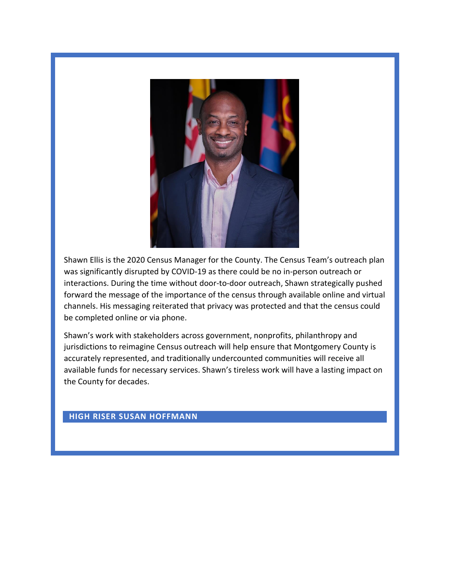

Shawn Ellis is the 2020 Census Manager for the County. The Census Team's outreach plan was significantly disrupted by COVID-19 as there could be no in-person outreach or interactions. During the time without door-to-door outreach, Shawn strategically pushed forward the message of the importance of the census through available online and virtual channels. His messaging reiterated that privacy was protected and that the census could be completed online or via phone.

Shawn's work with stakeholders across government, nonprofits, philanthropy and jurisdictions to reimagine Census outreach will help ensure that Montgomery County is accurately represented, and traditionally undercounted communities will receive all available funds for necessary services. Shawn's tireless work will have a lasting impact on the County for decades.

#### **HIGH RISER SUSAN HOFFMANN**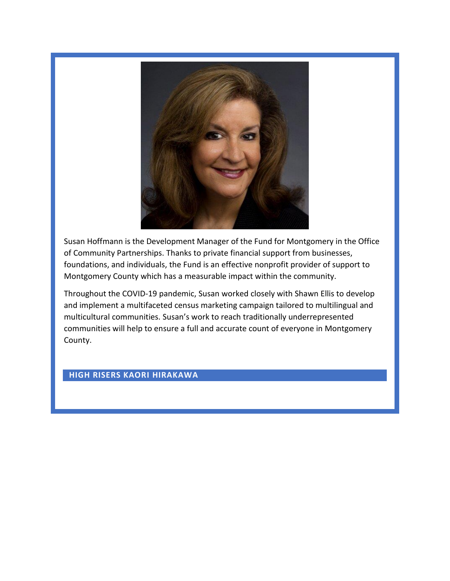

Susan Hoffmann is the Development Manager of the Fund for Montgomery in the Office of Community Partnerships. Thanks to private financial support from businesses, foundations, and individuals, the Fund is an effective nonprofit provider of support to Montgomery County which has a measurable impact within the community.

Throughout the COVID-19 pandemic, Susan worked closely with Shawn Ellis to develop and implement a multifaceted census marketing campaign tailored to multilingual and multicultural communities. Susan's work to reach traditionally underrepresented communities will help to ensure a full and accurate count of everyone in Montgomery County.

#### **HIGH RISERS KAORI HIRAKAWA**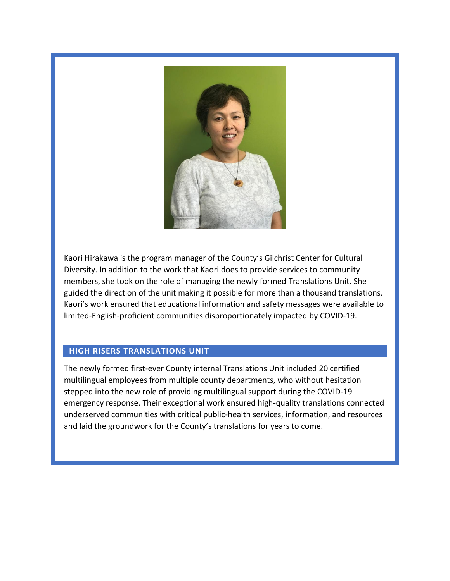

Kaori Hirakawa is the program manager of the County's Gilchrist Center for Cultural Diversity. In addition to the work that Kaori does to provide services to community members, she took on the role of managing the newly formed Translations Unit. She guided the direction of the unit making it possible for more than a thousand translations. Kaori's work ensured that educational information and safety messages were available to limited-English-proficient communities disproportionately impacted by COVID-19.

#### **HIGH RISERS TRANSLATIONS UNIT**

The newly formed first-ever County internal Translations Unit included 20 certified multilingual employees from multiple county departments, who without hesitation stepped into the new role of providing multilingual support during the COVID-19 emergency response. Their exceptional work ensured high-quality translations connected underserved communities with critical public-health services, information, and resources and laid the groundwork for the County's translations for years to come.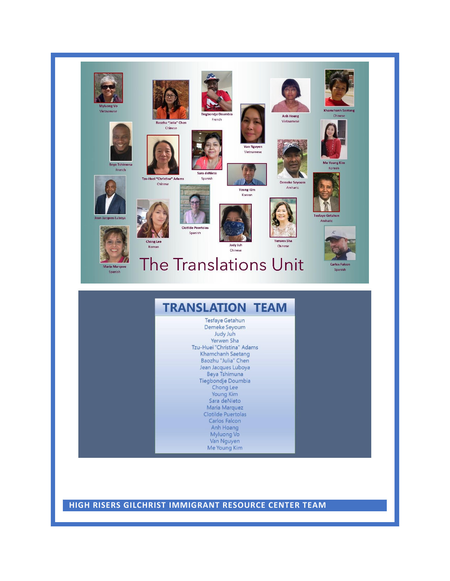

**HIGH RISERS GILCHRIST IMMIGRANT RESOURCE CENTER TEAM**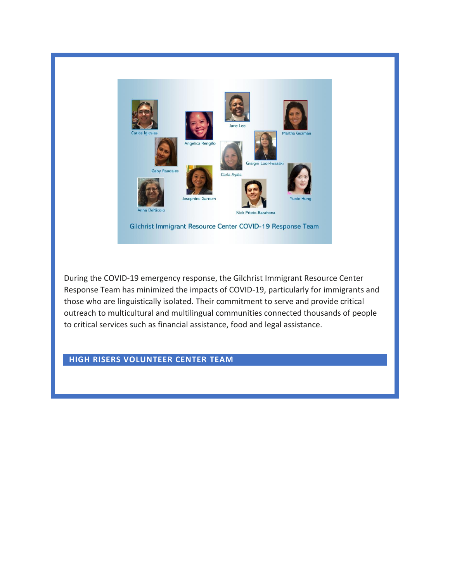

During the COVID-19 emergency response, the Gilchrist Immigrant Resource Center Response Team has minimized the impacts of COVID-19, particularly for immigrants and those who are linguistically isolated. Their commitment to serve and provide critical outreach to multicultural and multilingual communities connected thousands of people to critical services such as financial assistance, food and legal assistance.

## **HIGH RISERS VOLUNTEER CENTER TEAM**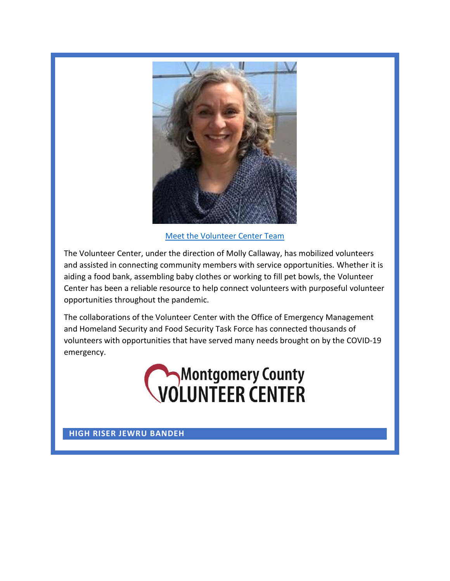

[Meet the Volunteer Center Team](https://web.microsoftstream.com/video/fde0fe31-6398-413b-a18b-dda62da4b818)

The Volunteer Center, under the direction of Molly Callaway, has mobilized volunteers and assisted in connecting community members with service opportunities. Whether it is aiding a food bank, assembling baby clothes or working to fill pet bowls, the Volunteer Center has been a reliable resource to help connect volunteers with purposeful volunteer opportunities throughout the pandemic.

The collaborations of the Volunteer Center with the Office of Emergency Management and Homeland Security and Food Security Task Force has connected thousands of volunteers with opportunities that have served many needs brought on by the COVID-19 emergency.

# Montgomery County<br> **VOLUNTEER CENTER**

**HIGH RISER JEWRU BANDEH**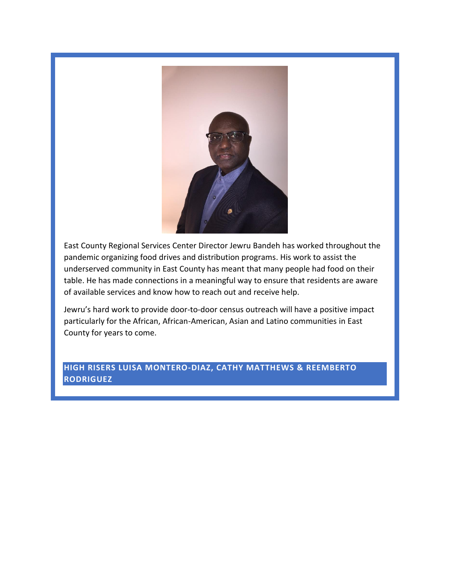

East County Regional Services Center Director Jewru Bandeh has worked throughout the pandemic organizing food drives and distribution programs. His work to assist the underserved community in East County has meant that many people had food on their table. He has made connections in a meaningful way to ensure that residents are aware of available services and know how to reach out and receive help.

Jewru's hard work to provide door-to-door census outreach will have a positive impact particularly for the African, African-American, Asian and Latino communities in East County for years to come.

#### **HIGH RISERS LUISA MONTERO-DIAZ, CATHY MATTHEWS & REEMBERTO RODRIGUEZ**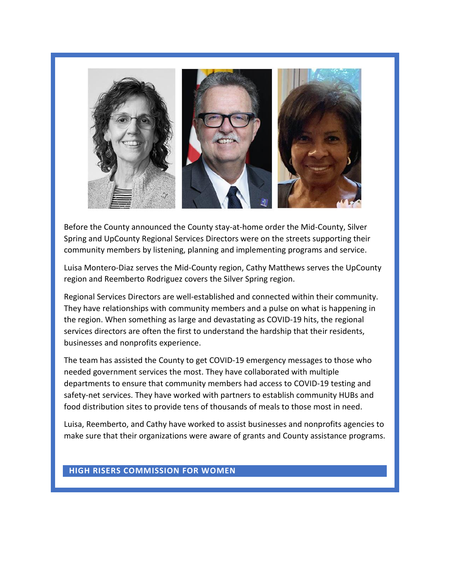

Before the County announced the County stay-at-home order the Mid-County, Silver Spring and UpCounty Regional Services Directors were on the streets supporting their community members by listening, planning and implementing programs and service.

Luisa Montero-Diaz serves the Mid-County region, Cathy Matthews serves the UpCounty region and Reemberto Rodriguez covers the Silver Spring region.

Regional Services Directors are well-established and connected within their community. They have relationships with community members and a pulse on what is happening in the region. When something as large and devastating as COVID-19 hits, the regional services directors are often the first to understand the hardship that their residents, businesses and nonprofits experience.

The team has assisted the County to get COVID-19 emergency messages to those who needed government services the most. They have collaborated with multiple departments to ensure that community members had access to COVID-19 testing and safety-net services. They have worked with partners to establish community HUBs and food distribution sites to provide tens of thousands of meals to those most in need.

Luisa, Reemberto, and Cathy have worked to assist businesses and nonprofits agencies to make sure that their organizations were aware of grants and County assistance programs.

#### **HIGH RISERS COMMISSION FOR WOMEN**